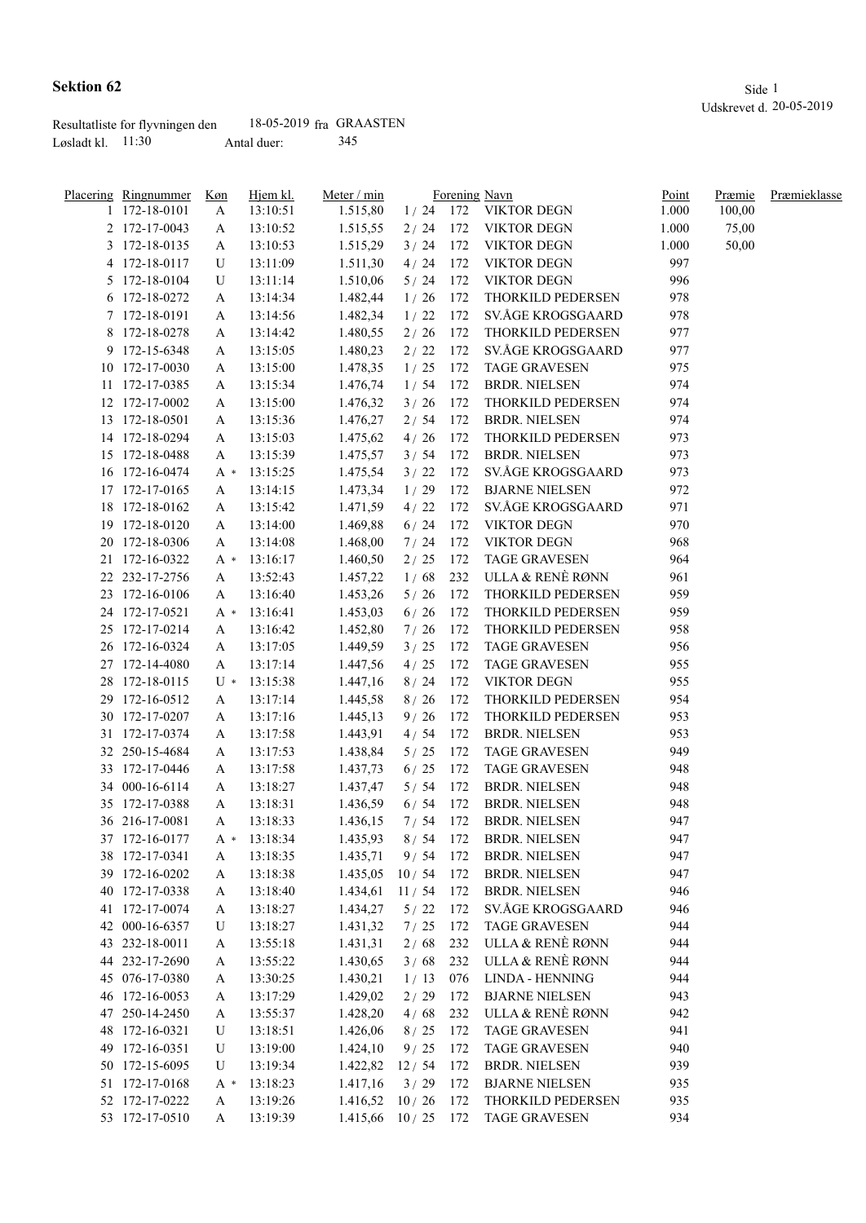|                     | Resultatliste for flyvningen den | 18-05-2019 fra GRAASTEN |     |
|---------------------|----------------------------------|-------------------------|-----|
| Løsladt kl. $11:30$ |                                  | Antal duer:             | 345 |

| <u>Placering Ringnummer</u>      | Køn | Hjem kl.       | Meter / min        |         |     | Forening Navn                     | Point | Præmie | Præmieklasse |
|----------------------------------|-----|----------------|--------------------|---------|-----|-----------------------------------|-------|--------|--------------|
| 1 172-18-0101                    | A   | 13:10:51       | 1.515,80           |         |     | $1/24$ 172 VIKTOR DEGN            | 1.000 | 100,00 |              |
| 2 172-17-0043                    | A   | 13:10:52       | 1.515,55           |         |     | 2 / 24 172 VIKTOR DEGN            | 1.000 | 75,00  |              |
| 3 172-18-0135                    | A   | 13:10:53       | 1.515,29           | 3/24    |     | 172 VIKTOR DEGN                   | 1.000 | 50,00  |              |
| 4 172-18-0117                    | U   | 13:11:09       | 1.511,30           | 4/24    | 172 | <b>VIKTOR DEGN</b>                | 997   |        |              |
| 5 172-18-0104                    | U   | 13:11:14       | 1.510,06           | 5/24    | 172 | <b>VIKTOR DEGN</b>                | 996   |        |              |
| 6 172-18-0272                    | A   | 13:14:34       | 1.482,44           | 1/26    | 172 | THORKILD PEDERSEN                 | 978   |        |              |
| 7 172-18-0191                    | A   | 13:14:56       | 1.482,34           | 1/22    | 172 | SV.ÅGE KROGSGAARD                 | 978   |        |              |
| 8 172-18-0278                    | A   | 13:14:42       | 1.480,55           | 2/26    | 172 | THORKILD PEDERSEN                 | 977   |        |              |
| 9 172-15-6348                    | A   | 13:15:05       | 1.480,23           | 2/22    | 172 | SV.ÅGE KROGSGAARD                 | 977   |        |              |
| 10 172-17-0030                   | A   | 13:15:00       | 1.478,35           | 1/25    | 172 | <b>TAGE GRAVESEN</b>              | 975   |        |              |
| 11 172-17-0385                   | A   | 13:15:34       | 1.476,74           | 1/54    | 172 | <b>BRDR. NIELSEN</b>              | 974   |        |              |
| 12 172-17-0002                   | A   | 13:15:00       | 1.476,32           | 3/26    | 172 | THORKILD PEDERSEN                 | 974   |        |              |
| 13 172-18-0501                   | A   | 13:15:36       | 1.476,27           | 2/54    | 172 | <b>BRDR. NIELSEN</b>              | 974   |        |              |
| 14 172-18-0294                   | A   | 13:15:03       | 1.475,62           | 4/26    | 172 | THORKILD PEDERSEN                 | 973   |        |              |
| 15 172-18-0488                   | A   | 13:15:39       | 1.475,57           | 3/54    | 172 | BRDR. NIELSEN                     | 973   |        |              |
| 16 172-16-0474                   | A * | 13:15:25       | 1.475,54           | 3/22    | 172 | SV.ÅGE KROGSGAARD                 | 973   |        |              |
| 17 172-17-0165                   | A   | 13:14:15       | 1.473,34           | 1/29    | 172 | <b>BJARNE NIELSEN</b>             | 972   |        |              |
| 18 172-18-0162                   | A   | 13:15:42       | 1.471,59           | 4/22    | 172 | SV.ÅGE KROGSGAARD                 | 971   |        |              |
| 19 172-18-0120                   | A   | 13:14:00       | 1.469,88           | 6/24    | 172 | <b>VIKTOR DEGN</b>                | 970   |        |              |
| 20 172-18-0306                   | A   | 13:14:08       | 1.468,00           | 7/24    | 172 | <b>VIKTOR DEGN</b>                | 968   |        |              |
| 21 172-16-0322                   | A * | 13:16:17       | 1.460,50           | 2/25    | 172 | <b>TAGE GRAVESEN</b>              | 964   |        |              |
| 22 232-17-2756                   | A   | 13:52:43       | 1.457,22           | 1/68    |     | 232 ULLA & RENÈ RØNN              | 961   |        |              |
| 23 172-16-0106                   | A   | 13:16:40       | 1.453,26           | 5/26    | 172 | THORKILD PEDERSEN                 | 959   |        |              |
| 24 172-17-0521                   | A * | 13:16:41       | 1.453,03           | 6/26    | 172 | THORKILD PEDERSEN                 | 959   |        |              |
| 25 172-17-0214                   | A   | 13:16:42       | 1.452,80           | 7/26    | 172 | THORKILD PEDERSEN                 | 958   |        |              |
| 26 172-16-0324                   | A   | 13:17:05       | 1.449,59           | 3/25    | 172 | <b>TAGE GRAVESEN</b>              | 956   |        |              |
| 27 172-14-4080                   | A   | 13:17:14       | 1.447,56           | 4/25    | 172 | <b>TAGE GRAVESEN</b>              | 955   |        |              |
| 28 172-18-0115                   | U * | 13:15:38       | 1.447,16           | 8/24    | 172 | <b>VIKTOR DEGN</b>                | 955   |        |              |
| 29 172-16-0512                   | A   | 13:17:14       | 1.445,58           | 8/26    | 172 | THORKILD PEDERSEN                 | 954   |        |              |
| 30 172-17-0207                   | A   | 13:17:16       | 1.445,13           | 9/26    | 172 | THORKILD PEDERSEN                 | 953   |        |              |
| 31 172-17-0374                   |     | 13:17:58       | 1.443,91           | 4/54    | 172 | <b>BRDR. NIELSEN</b>              | 953   |        |              |
| 32 250-15-4684                   | A   |                |                    |         | 172 | <b>TAGE GRAVESEN</b>              | 949   |        |              |
|                                  | A   | 13:17:53       | 1.438,84           | 5/25    |     | <b>TAGE GRAVESEN</b>              | 948   |        |              |
| 33 172-17-0446<br>34 000-16-6114 | A   | 13:17:58       | 1.437,73           | 6/25    | 172 | <b>BRDR. NIELSEN</b>              | 948   |        |              |
|                                  | A   | 13:18:27       | 1.437,47           | 5/54    | 172 |                                   |       |        |              |
| 35 172-17-0388                   | A   | 13:18:31       | 1.436,59           |         |     | 6 / 54 172 BRDR. NIELSEN          | 948   |        |              |
| 36 216-17-0081                   | A   | 13:18:33       | 1.436,15           |         |     | 7/54 172 BRDR. NIELSEN            | 947   |        |              |
| 37 172-16-0177                   |     | $A * 13:18:34$ |                    |         |     | 1.435,93 8 / 54 172 BRDR. NIELSEN | 947   |        |              |
| 38 172-17-0341                   | A   | 13:18:35       | 1.435,71           | 9/54    | 172 | <b>BRDR. NIELSEN</b>              | 947   |        |              |
| 39 172-16-0202                   | A   | 13:18:38       | 1.435,05           | 10/54   | 172 | <b>BRDR. NIELSEN</b>              | 947   |        |              |
| 40 172-17-0338                   | A   | 13:18:40       | 1.434,61           | 11 / 54 | 172 | <b>BRDR. NIELSEN</b>              | 946   |        |              |
| 41 172-17-0074                   | A   | 13:18:27       | 1.434,27           | 5/22    | 172 | SV.ÅGE KROGSGAARD                 | 946   |        |              |
| 42 000-16-6357                   | U   | 13:18:27       | 1.431,32           | 7/25    | 172 | <b>TAGE GRAVESEN</b>              | 944   |        |              |
| 43 232-18-0011                   | A   | 13:55:18       | 1.431,31           | 2/68    | 232 | ULLA & RENÈ RØNN                  | 944   |        |              |
| 44 232-17-2690                   | A   | 13:55:22       | 1.430,65           | 3/68    | 232 | ULLA & RENÈ RØNN                  | 944   |        |              |
| 45 076-17-0380                   | A   | 13:30:25       | 1.430,21           | 1/13    | 076 | <b>LINDA - HENNING</b>            | 944   |        |              |
| 46 172-16-0053                   | A   | 13:17:29       | 1.429,02           | 2/29    | 172 | <b>BJARNE NIELSEN</b>             | 943   |        |              |
| 47 250-14-2450                   | A   | 13:55:37       | 1.428,20           | 4/68    | 232 | ULLA & RENÈ RØNN                  | 942   |        |              |
| 48 172-16-0321                   | U   | 13:18:51       | 1.426,06           | 8/25    | 172 | <b>TAGE GRAVESEN</b>              | 941   |        |              |
| 49 172-16-0351                   | U   | 13:19:00       | 1.424,10           | 9/25    | 172 | <b>TAGE GRAVESEN</b>              | 940   |        |              |
| 50 172-15-6095                   | U   | 13:19:34       | 1.422,82           | 12/54   | 172 | <b>BRDR. NIELSEN</b>              | 939   |        |              |
| 51 172-17-0168                   | A * | 13:18:23       | 1.417,16           | 3/29    | 172 | <b>BJARNE NIELSEN</b>             | 935   |        |              |
| 52 172-17-0222                   | A   | 13:19:26       | 1.416,52           | 10/26   | 172 | THORKILD PEDERSEN                 | 935   |        |              |
| 53 172-17-0510                   | A   | 13:19:39       | $1.415,66$ 10 / 25 |         | 172 | <b>TAGE GRAVESEN</b>              | 934   |        |              |
|                                  |     |                |                    |         |     |                                   |       |        |              |